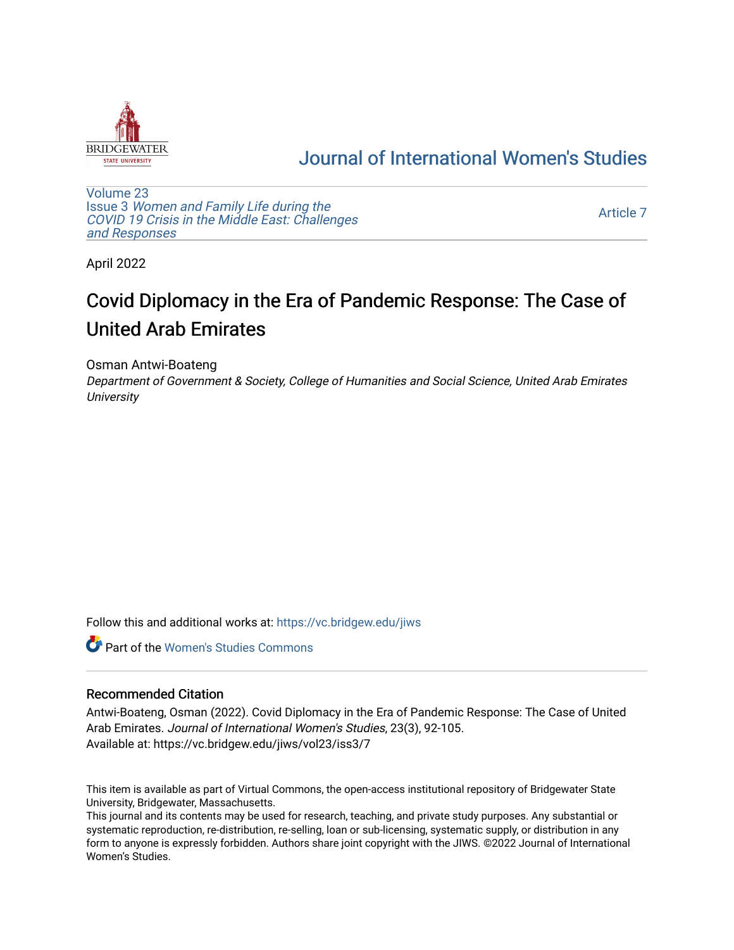

## [Journal of International Women's Studies](https://vc.bridgew.edu/jiws)

[Volume 23](https://vc.bridgew.edu/jiws/vol23) Issue 3 [Women and Family Life during the](https://vc.bridgew.edu/jiws/vol23/iss3)  [COVID 19 Crisis in the Middle East: Challenges](https://vc.bridgew.edu/jiws/vol23/iss3) [and Responses](https://vc.bridgew.edu/jiws/vol23/iss3) 

[Article 7](https://vc.bridgew.edu/jiws/vol23/iss3/7) 

April 2022

# Covid Diplomacy in the Era of Pandemic Response: The Case of United Arab Emirates

Osman Antwi-Boateng

Department of Government & Society, College of Humanities and Social Science, United Arab Emirates **University** 

Follow this and additional works at: [https://vc.bridgew.edu/jiws](https://vc.bridgew.edu/jiws?utm_source=vc.bridgew.edu%2Fjiws%2Fvol23%2Fiss3%2F7&utm_medium=PDF&utm_campaign=PDFCoverPages)

**C** Part of the Women's Studies Commons

#### Recommended Citation

Antwi-Boateng, Osman (2022). Covid Diplomacy in the Era of Pandemic Response: The Case of United Arab Emirates. Journal of International Women's Studies, 23(3), 92-105. Available at: https://vc.bridgew.edu/jiws/vol23/iss3/7

This item is available as part of Virtual Commons, the open-access institutional repository of Bridgewater State University, Bridgewater, Massachusetts.

This journal and its contents may be used for research, teaching, and private study purposes. Any substantial or systematic reproduction, re-distribution, re-selling, loan or sub-licensing, systematic supply, or distribution in any form to anyone is expressly forbidden. Authors share joint copyright with the JIWS. ©2022 Journal of International Women's Studies.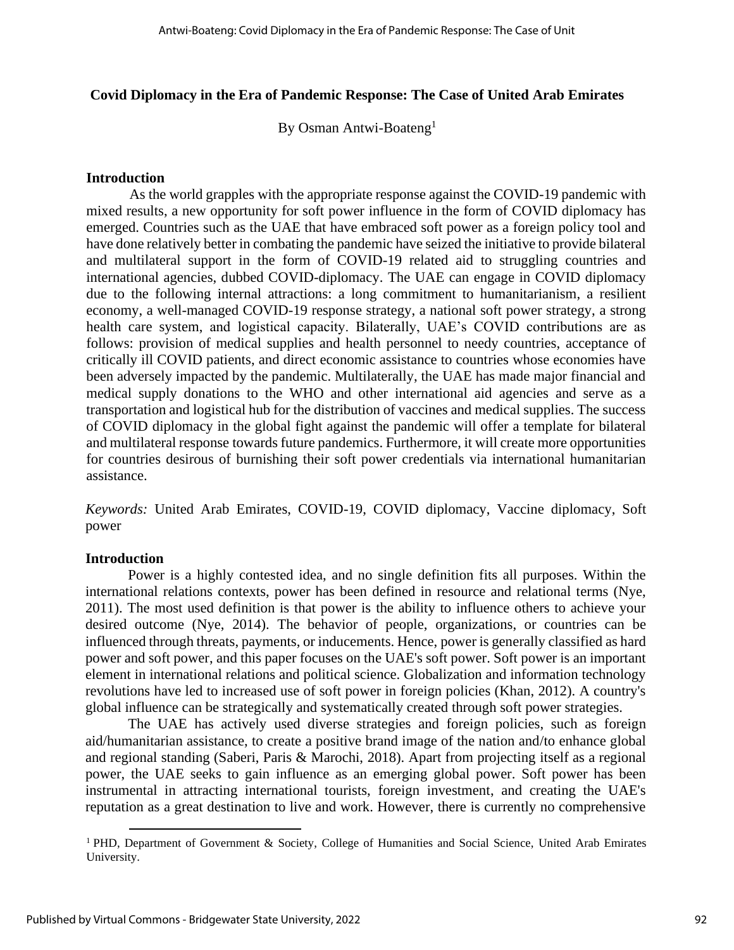#### **Covid Diplomacy in the Era of Pandemic Response: The Case of United Arab Emirates**

By Osman Antwi-Boateng<sup>1</sup>

#### **Introduction**

As the world grapples with the appropriate response against the COVID-19 pandemic with mixed results, a new opportunity for soft power influence in the form of COVID diplomacy has emerged. Countries such as the UAE that have embraced soft power as a foreign policy tool and have done relatively better in combating the pandemic have seized the initiative to provide bilateral and multilateral support in the form of COVID-19 related aid to struggling countries and international agencies, dubbed COVID-diplomacy. The UAE can engage in COVID diplomacy due to the following internal attractions: a long commitment to humanitarianism, a resilient economy, a well-managed COVID-19 response strategy, a national soft power strategy, a strong health care system, and logistical capacity. Bilaterally, UAE's COVID contributions are as follows: provision of medical supplies and health personnel to needy countries, acceptance of critically ill COVID patients, and direct economic assistance to countries whose economies have been adversely impacted by the pandemic. Multilaterally, the UAE has made major financial and medical supply donations to the WHO and other international aid agencies and serve as a transportation and logistical hub for the distribution of vaccines and medical supplies. The success of COVID diplomacy in the global fight against the pandemic will offer a template for bilateral and multilateral response towards future pandemics. Furthermore, it will create more opportunities for countries desirous of burnishing their soft power credentials via international humanitarian assistance.

*Keywords:* United Arab Emirates, COVID-19, COVID diplomacy, Vaccine diplomacy, Soft power

#### **Introduction**

Power is a highly contested idea, and no single definition fits all purposes. Within the international relations contexts, power has been defined in resource and relational terms (Nye, 2011). The most used definition is that power is the ability to influence others to achieve your desired outcome (Nye, 2014). The behavior of people, organizations, or countries can be influenced through threats, payments, or inducements. Hence, power is generally classified as hard power and soft power, and this paper focuses on the UAE's soft power. Soft power is an important element in international relations and political science. Globalization and information technology revolutions have led to increased use of soft power in foreign policies (Khan, 2012). A country's global influence can be strategically and systematically created through soft power strategies.

The UAE has actively used diverse strategies and foreign policies, such as foreign aid/humanitarian assistance, to create a positive brand image of the nation and/to enhance global and regional standing (Saberi, Paris & Marochi, 2018). Apart from projecting itself as a regional power, the UAE seeks to gain influence as an emerging global power. Soft power has been instrumental in attracting international tourists, foreign investment, and creating the UAE's reputation as a great destination to live and work. However, there is currently no comprehensive

<sup>&</sup>lt;sup>1</sup> PHD, Department of Government & Society, College of Humanities and Social Science, United Arab Emirates University.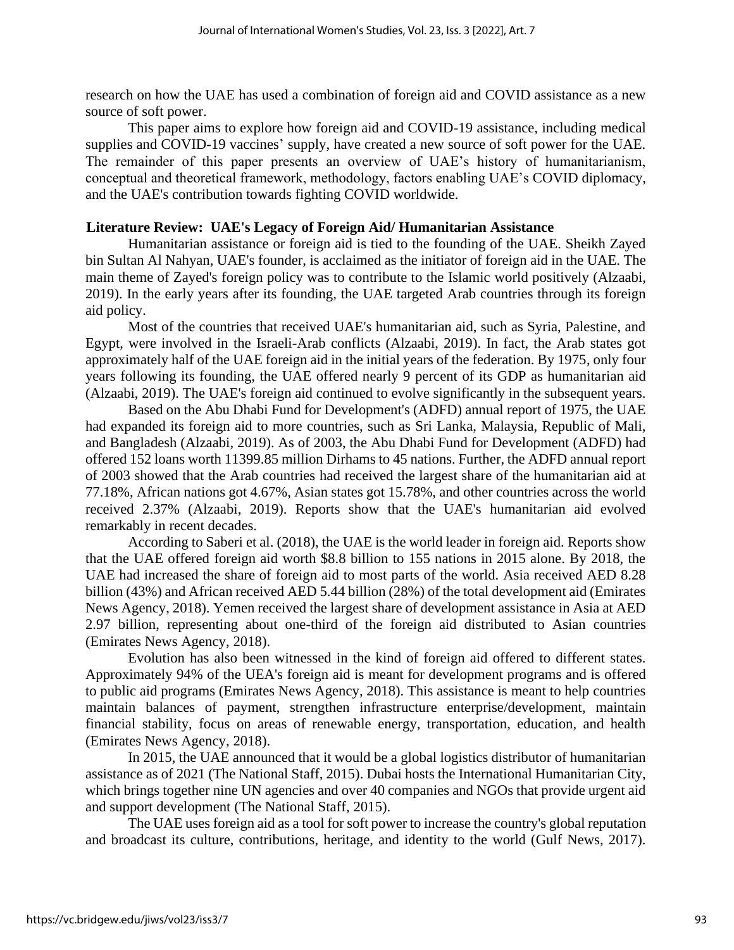research on how the UAE has used a combination of foreign aid and COVID assistance as a new source of soft power.

This paper aims to explore how foreign aid and COVID-19 assistance, including medical supplies and COVID-19 vaccines' supply, have created a new source of soft power for the UAE. The remainder of this paper presents an overview of UAE's history of humanitarianism, conceptual and theoretical framework, methodology, factors enabling UAE's COVID diplomacy, and the UAE's contribution towards fighting COVID worldwide.

#### **Literature Review: UAE's Legacy of Foreign Aid/ Humanitarian Assistance**

Humanitarian assistance or foreign aid is tied to the founding of the UAE. Sheikh Zayed bin Sultan Al Nahyan, UAE's founder, is acclaimed as the initiator of foreign aid in the UAE. The main theme of Zayed's foreign policy was to contribute to the Islamic world positively (Alzaabi, 2019). In the early years after its founding, the UAE targeted Arab countries through its foreign aid policy.

Most of the countries that received UAE's humanitarian aid, such as Syria, Palestine, and Egypt, were involved in the Israeli-Arab conflicts (Alzaabi, 2019). In fact, the Arab states got approximately half of the UAE foreign aid in the initial years of the federation. By 1975, only four years following its founding, the UAE offered nearly 9 percent of its GDP as humanitarian aid (Alzaabi, 2019). The UAE's foreign aid continued to evolve significantly in the subsequent years.

Based on the Abu Dhabi Fund for Development's (ADFD) annual report of 1975, the UAE had expanded its foreign aid to more countries, such as Sri Lanka, Malaysia, Republic of Mali, and Bangladesh (Alzaabi, 2019). As of 2003, the Abu Dhabi Fund for Development (ADFD) had offered 152 loans worth 11399.85 million Dirhams to 45 nations. Further, the ADFD annual report of 2003 showed that the Arab countries had received the largest share of the humanitarian aid at 77.18%, African nations got 4.67%, Asian states got 15.78%, and other countries across the world received 2.37% (Alzaabi, 2019). Reports show that the UAE's humanitarian aid evolved remarkably in recent decades.

According to Saberi et al. (2018), the UAE is the world leader in foreign aid. Reports show that the UAE offered foreign aid worth \$8.8 billion to 155 nations in 2015 alone. By 2018, the UAE had increased the share of foreign aid to most parts of the world. Asia received AED 8.28 billion (43%) and African received AED 5.44 billion (28%) of the total development aid (Emirates News Agency, 2018). Yemen received the largest share of development assistance in Asia at AED 2.97 billion, representing about one-third of the foreign aid distributed to Asian countries (Emirates News Agency, 2018).

Evolution has also been witnessed in the kind of foreign aid offered to different states. Approximately 94% of the UEA's foreign aid is meant for development programs and is offered to public aid programs (Emirates News Agency, 2018). This assistance is meant to help countries maintain balances of payment, strengthen infrastructure enterprise/development, maintain financial stability, focus on areas of renewable energy, transportation, education, and health (Emirates News Agency, 2018).

In 2015, the UAE announced that it would be a global logistics distributor of humanitarian assistance as of 2021 (The National Staff, 2015). Dubai hosts the International Humanitarian City, which brings together nine UN agencies and over 40 companies and NGOs that provide urgent aid and support development (The National Staff, 2015).

The UAE uses foreign aid as a tool for soft power to increase the country's global reputation and broadcast its culture, contributions, heritage, and identity to the world (Gulf News, 2017).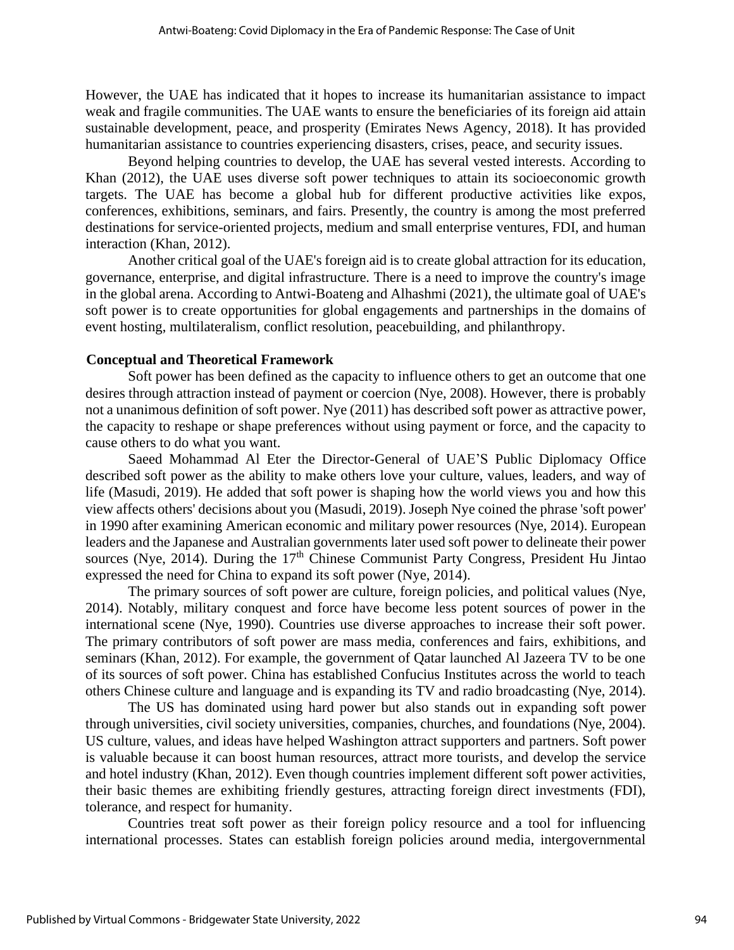However, the UAE has indicated that it hopes to increase its humanitarian assistance to impact weak and fragile communities. The UAE wants to ensure the beneficiaries of its foreign aid attain sustainable development, peace, and prosperity (Emirates News Agency, 2018). It has provided humanitarian assistance to countries experiencing disasters, crises, peace, and security issues.

Beyond helping countries to develop, the UAE has several vested interests. According to Khan (2012), the UAE uses diverse soft power techniques to attain its socioeconomic growth targets. The UAE has become a global hub for different productive activities like expos, conferences, exhibitions, seminars, and fairs. Presently, the country is among the most preferred destinations for service-oriented projects, medium and small enterprise ventures, FDI, and human interaction (Khan, 2012).

Another critical goal of the UAE's foreign aid is to create global attraction for its education, governance, enterprise, and digital infrastructure. There is a need to improve the country's image in the global arena. According to Antwi-Boateng and Alhashmi (2021), the ultimate goal of UAE's soft power is to create opportunities for global engagements and partnerships in the domains of event hosting, multilateralism, conflict resolution, peacebuilding, and philanthropy.

#### **Conceptual and Theoretical Framework**

Soft power has been defined as the capacity to influence others to get an outcome that one desires through attraction instead of payment or coercion (Nye, 2008). However, there is probably not a unanimous definition of soft power. Nye (2011) has described soft power as attractive power, the capacity to reshape or shape preferences without using payment or force, and the capacity to cause others to do what you want.

Saeed Mohammad Al Eter the Director-General of UAE'S Public Diplomacy Office described soft power as the ability to make others love your culture, values, leaders, and way of life (Masudi, 2019). He added that soft power is shaping how the world views you and how this view affects others' decisions about you (Masudi, 2019). Joseph Nye coined the phrase 'soft power' in 1990 after examining American economic and military power resources (Nye, 2014). European leaders and the Japanese and Australian governments later used soft power to delineate their power sources (Nye, 2014). During the  $17<sup>th</sup>$  Chinese Communist Party Congress, President Hu Jintao expressed the need for China to expand its soft power (Nye, 2014).

The primary sources of soft power are culture, foreign policies, and political values (Nye, 2014). Notably, military conquest and force have become less potent sources of power in the international scene (Nye, 1990). Countries use diverse approaches to increase their soft power. The primary contributors of soft power are mass media, conferences and fairs, exhibitions, and seminars (Khan, 2012). For example, the government of Qatar launched Al Jazeera TV to be one of its sources of soft power. China has established Confucius Institutes across the world to teach others Chinese culture and language and is expanding its TV and radio broadcasting (Nye, 2014).

The US has dominated using hard power but also stands out in expanding soft power through universities, civil society universities, companies, churches, and foundations (Nye, 2004). US culture, values, and ideas have helped Washington attract supporters and partners. Soft power is valuable because it can boost human resources, attract more tourists, and develop the service and hotel industry (Khan, 2012). Even though countries implement different soft power activities, their basic themes are exhibiting friendly gestures, attracting foreign direct investments (FDI), tolerance, and respect for humanity.

Countries treat soft power as their foreign policy resource and a tool for influencing international processes. States can establish foreign policies around media, intergovernmental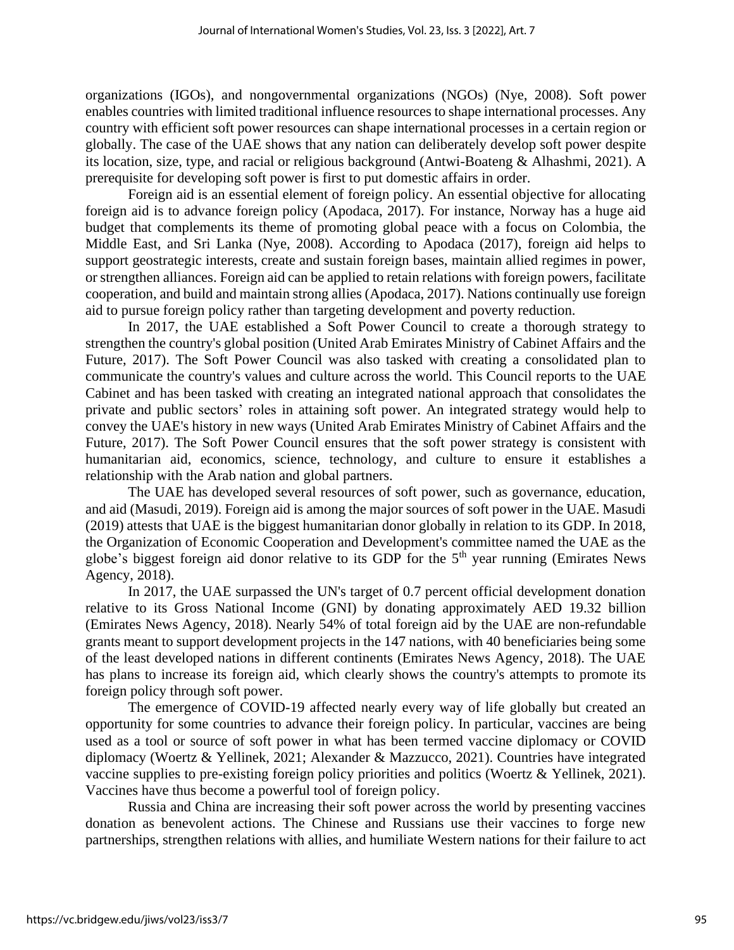organizations (IGOs), and nongovernmental organizations (NGOs) (Nye, 2008). Soft power enables countries with limited traditional influence resources to shape international processes. Any country with efficient soft power resources can shape international processes in a certain region or globally. The case of the UAE shows that any nation can deliberately develop soft power despite its location, size, type, and racial or religious background (Antwi-Boateng & Alhashmi, 2021). A prerequisite for developing soft power is first to put domestic affairs in order.

Foreign aid is an essential element of foreign policy. An essential objective for allocating foreign aid is to advance foreign policy (Apodaca, 2017). For instance, Norway has a huge aid budget that complements its theme of promoting global peace with a focus on Colombia, the Middle East, and Sri Lanka (Nye, 2008). According to Apodaca (2017), foreign aid helps to support geostrategic interests, create and sustain foreign bases, maintain allied regimes in power, or strengthen alliances. Foreign aid can be applied to retain relations with foreign powers, facilitate cooperation, and build and maintain strong allies (Apodaca, 2017). Nations continually use foreign aid to pursue foreign policy rather than targeting development and poverty reduction.

In 2017, the UAE established a Soft Power Council to create a thorough strategy to strengthen the country's global position (United Arab Emirates Ministry of Cabinet Affairs and the Future, 2017). The Soft Power Council was also tasked with creating a consolidated plan to communicate the country's values and culture across the world. This Council reports to the UAE Cabinet and has been tasked with creating an integrated national approach that consolidates the private and public sectors' roles in attaining soft power. An integrated strategy would help to convey the UAE's history in new ways (United Arab Emirates Ministry of Cabinet Affairs and the Future, 2017). The Soft Power Council ensures that the soft power strategy is consistent with humanitarian aid, economics, science, technology, and culture to ensure it establishes a relationship with the Arab nation and global partners.

The UAE has developed several resources of soft power, such as governance, education, and aid (Masudi, 2019). Foreign aid is among the major sources of soft power in the UAE. Masudi (2019) attests that UAE is the biggest humanitarian donor globally in relation to its GDP. In 2018, the Organization of Economic Cooperation and Development's committee named the UAE as the globe's biggest foreign aid donor relative to its GDP for the  $5<sup>th</sup>$  year running (Emirates News Agency, 2018).

In 2017, the UAE surpassed the UN's target of 0.7 percent official development donation relative to its Gross National Income (GNI) by donating approximately AED 19.32 billion (Emirates News Agency, 2018). Nearly 54% of total foreign aid by the UAE are non-refundable grants meant to support development projects in the 147 nations, with 40 beneficiaries being some of the least developed nations in different continents (Emirates News Agency, 2018). The UAE has plans to increase its foreign aid, which clearly shows the country's attempts to promote its foreign policy through soft power.

The emergence of COVID-19 affected nearly every way of life globally but created an opportunity for some countries to advance their foreign policy. In particular, vaccines are being used as a tool or source of soft power in what has been termed vaccine diplomacy or COVID diplomacy (Woertz & Yellinek, 2021; Alexander & Mazzucco, 2021). Countries have integrated vaccine supplies to pre-existing foreign policy priorities and politics (Woertz & Yellinek, 2021). Vaccines have thus become a powerful tool of foreign policy.

Russia and China are increasing their soft power across the world by presenting vaccines donation as benevolent actions. The Chinese and Russians use their vaccines to forge new partnerships, strengthen relations with allies, and humiliate Western nations for their failure to act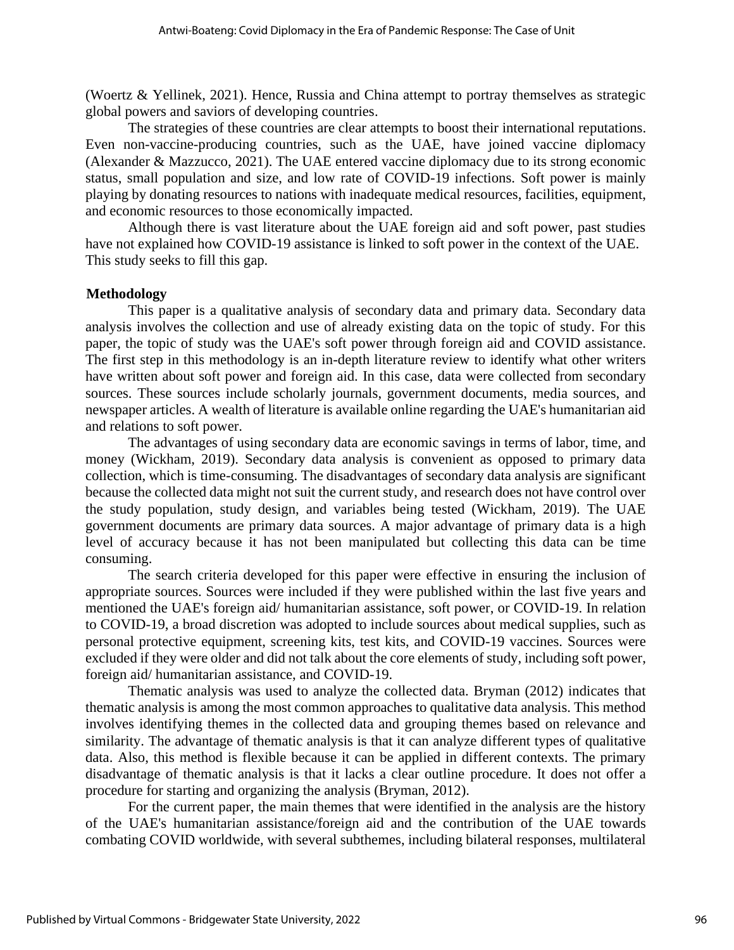(Woertz & Yellinek, 2021). Hence, Russia and China attempt to portray themselves as strategic global powers and saviors of developing countries.

The strategies of these countries are clear attempts to boost their international reputations. Even non-vaccine-producing countries, such as the UAE, have joined vaccine diplomacy (Alexander & Mazzucco, 2021). The UAE entered vaccine diplomacy due to its strong economic status, small population and size, and low rate of COVID-19 infections. Soft power is mainly playing by donating resources to nations with inadequate medical resources, facilities, equipment, and economic resources to those economically impacted.

Although there is vast literature about the UAE foreign aid and soft power, past studies have not explained how COVID-19 assistance is linked to soft power in the context of the UAE. This study seeks to fill this gap.

#### **Methodology**

This paper is a qualitative analysis of secondary data and primary data. Secondary data analysis involves the collection and use of already existing data on the topic of study. For this paper, the topic of study was the UAE's soft power through foreign aid and COVID assistance. The first step in this methodology is an in-depth literature review to identify what other writers have written about soft power and foreign aid. In this case, data were collected from secondary sources. These sources include scholarly journals, government documents, media sources, and newspaper articles. A wealth of literature is available online regarding the UAE's humanitarian aid and relations to soft power.

The advantages of using secondary data are economic savings in terms of labor, time, and money (Wickham, 2019). Secondary data analysis is convenient as opposed to primary data collection, which is time-consuming. The disadvantages of secondary data analysis are significant because the collected data might not suit the current study, and research does not have control over the study population, study design, and variables being tested (Wickham, 2019). The UAE government documents are primary data sources. A major advantage of primary data is a high level of accuracy because it has not been manipulated but collecting this data can be time consuming.

The search criteria developed for this paper were effective in ensuring the inclusion of appropriate sources. Sources were included if they were published within the last five years and mentioned the UAE's foreign aid/ humanitarian assistance, soft power, or COVID-19. In relation to COVID-19, a broad discretion was adopted to include sources about medical supplies, such as personal protective equipment, screening kits, test kits, and COVID-19 vaccines. Sources were excluded if they were older and did not talk about the core elements of study, including soft power, foreign aid/ humanitarian assistance, and COVID-19.

Thematic analysis was used to analyze the collected data. Bryman (2012) indicates that thematic analysis is among the most common approaches to qualitative data analysis. This method involves identifying themes in the collected data and grouping themes based on relevance and similarity. The advantage of thematic analysis is that it can analyze different types of qualitative data. Also, this method is flexible because it can be applied in different contexts. The primary disadvantage of thematic analysis is that it lacks a clear outline procedure. It does not offer a procedure for starting and organizing the analysis (Bryman, 2012).

For the current paper, the main themes that were identified in the analysis are the history of the UAE's humanitarian assistance/foreign aid and the contribution of the UAE towards combating COVID worldwide, with several subthemes, including bilateral responses, multilateral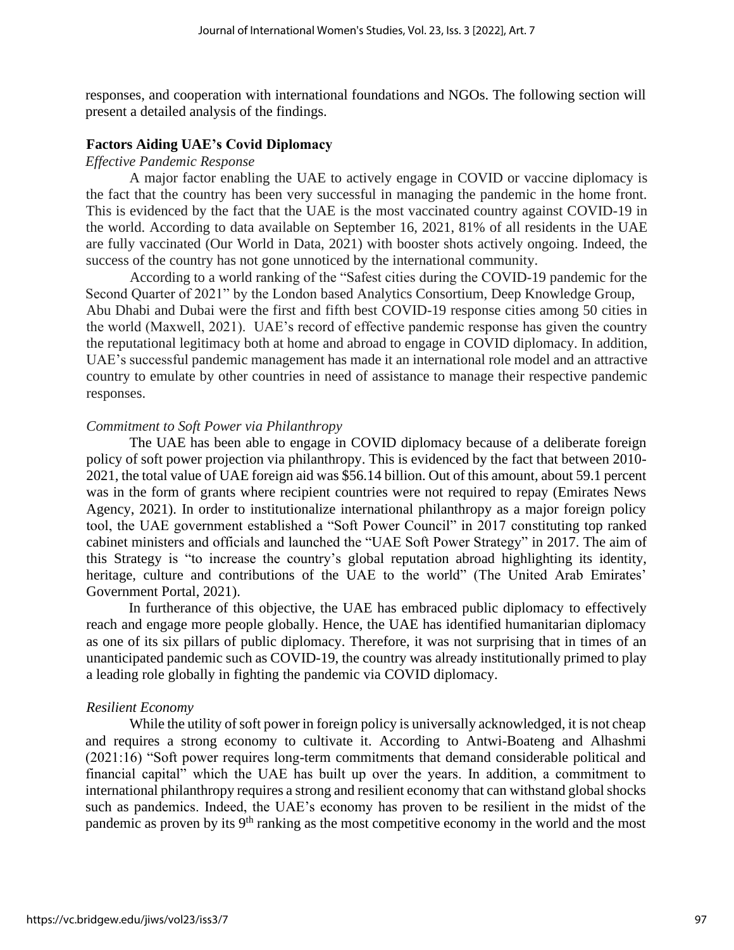responses, and cooperation with international foundations and NGOs. The following section will present a detailed analysis of the findings.

#### **Factors Aiding UAE's Covid Diplomacy**

#### *Effective Pandemic Response*

A major factor enabling the UAE to actively engage in COVID or vaccine diplomacy is the fact that the country has been very successful in managing the pandemic in the home front. This is evidenced by the fact that the UAE is the most vaccinated country against COVID-19 in the world. According to data available on September 16, 2021, 81% of all residents in the UAE are fully vaccinated (Our World in Data, 2021) with booster shots actively ongoing. Indeed, the success of the country has not gone unnoticed by the international community.

According to a world ranking of the "Safest cities during the COVID-19 pandemic for the Second Quarter of 2021" by the London based Analytics Consortium, Deep Knowledge Group, Abu Dhabi and Dubai were the first and fifth best COVID-19 response cities among 50 cities in the world (Maxwell, 2021). UAE's record of effective pandemic response has given the country the reputational legitimacy both at home and abroad to engage in COVID diplomacy. In addition, UAE's successful pandemic management has made it an international role model and an attractive country to emulate by other countries in need of assistance to manage their respective pandemic responses.

#### *Commitment to Soft Power via Philanthropy*

The UAE has been able to engage in COVID diplomacy because of a deliberate foreign policy of soft power projection via philanthropy. This is evidenced by the fact that between 2010- 2021, the total value of UAE foreign aid was \$56.14 billion. Out of this amount, about 59.1 percent was in the form of grants where recipient countries were not required to repay (Emirates News Agency, 2021). In order to institutionalize international philanthropy as a major foreign policy tool, the UAE government established a "Soft Power Council" in 2017 constituting top ranked cabinet ministers and officials and launched the "UAE Soft Power Strategy" in 2017. The aim of this Strategy is "to increase the country's global reputation abroad highlighting its identity, heritage, culture and contributions of the UAE to the world" (The United Arab Emirates' Government Portal, 2021).

In furtherance of this objective, the UAE has embraced public diplomacy to effectively reach and engage more people globally. Hence, the UAE has identified humanitarian diplomacy as one of its six pillars of public diplomacy. Therefore, it was not surprising that in times of an unanticipated pandemic such as COVID-19, the country was already institutionally primed to play a leading role globally in fighting the pandemic via COVID diplomacy.

#### *Resilient Economy*

While the utility of soft power in foreign policy is universally acknowledged, it is not cheap and requires a strong economy to cultivate it. According to Antwi-Boateng and Alhashmi (2021:16) "Soft power requires long-term commitments that demand considerable political and financial capital" which the UAE has built up over the years. In addition, a commitment to international philanthropy requires a strong and resilient economy that can withstand global shocks such as pandemics. Indeed, the UAE's economy has proven to be resilient in the midst of the pandemic as proven by its 9<sup>th</sup> ranking as the most competitive economy in the world and the most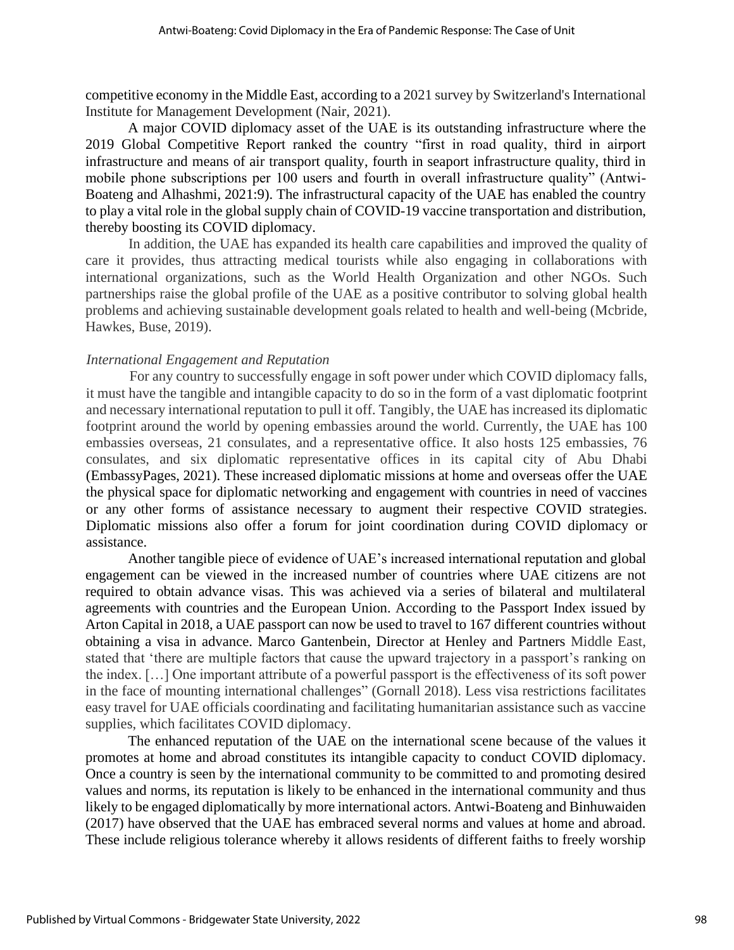competitive economy in the Middle East, according to a 2021 survey by Switzerland's International Institute for Management Development (Nair, 2021).

A major COVID diplomacy asset of the UAE is its outstanding infrastructure where the 2019 Global Competitive Report ranked the country "first in road quality, third in airport infrastructure and means of air transport quality, fourth in seaport infrastructure quality, third in mobile phone subscriptions per 100 users and fourth in overall infrastructure quality" (Antwi-Boateng and Alhashmi, 2021:9). The infrastructural capacity of the UAE has enabled the country to play a vital role in the global supply chain of COVID-19 vaccine transportation and distribution, thereby boosting its COVID diplomacy.

In addition, the UAE has expanded its health care capabilities and improved the quality of care it provides, thus attracting medical tourists while also engaging in collaborations with international organizations, such as the World Health Organization and other NGOs. Such partnerships raise the global profile of the UAE as a positive contributor to solving global health problems and achieving sustainable development goals related to health and well-being (Mcbride, Hawkes, Buse, 2019).

#### *International Engagement and Reputation*

For any country to successfully engage in soft power under which COVID diplomacy falls, it must have the tangible and intangible capacity to do so in the form of a vast diplomatic footprint and necessary international reputation to pull it off. Tangibly, the UAE has increased its diplomatic footprint around the world by opening embassies around the world. Currently, the UAE has 100 embassies overseas, 21 consulates, and a representative office. It also hosts 125 embassies, 76 consulates, and six diplomatic representative offices in its capital city of Abu Dhabi (EmbassyPages, 2021). These increased diplomatic missions at home and overseas offer the UAE the physical space for diplomatic networking and engagement with countries in need of vaccines or any other forms of assistance necessary to augment their respective COVID strategies. Diplomatic missions also offer a forum for joint coordination during COVID diplomacy or assistance.

Another tangible piece of evidence of UAE's increased international reputation and global engagement can be viewed in the increased number of countries where UAE citizens are not required to obtain advance visas. This was achieved via a series of bilateral and multilateral agreements with countries and the European Union. According to the Passport Index issued by Arton Capital in 2018, a UAE passport can now be used to travel to 167 different countries without obtaining a visa in advance. Marco Gantenbein, Director at Henley and Partners Middle East, stated that 'there are multiple factors that cause the upward trajectory in a passport's ranking on the index. […] One important attribute of a powerful passport is the effectiveness of its soft power in the face of mounting international challenges" (Gornall 2018). Less visa restrictions facilitates easy travel for UAE officials coordinating and facilitating humanitarian assistance such as vaccine supplies, which facilitates COVID diplomacy.

The enhanced reputation of the UAE on the international scene because of the values it promotes at home and abroad constitutes its intangible capacity to conduct COVID diplomacy. Once a country is seen by the international community to be committed to and promoting desired values and norms, its reputation is likely to be enhanced in the international community and thus likely to be engaged diplomatically by more international actors. Antwi-Boateng and Binhuwaiden (2017) have observed that the UAE has embraced several norms and values at home and abroad. These include religious tolerance whereby it allows residents of different faiths to freely worship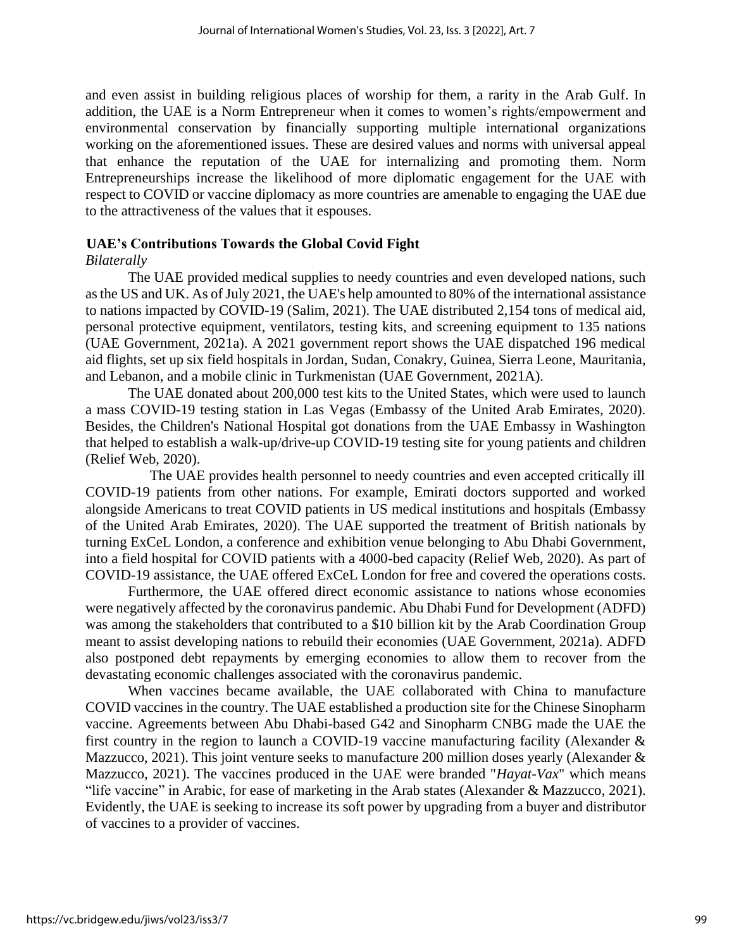and even assist in building religious places of worship for them, a rarity in the Arab Gulf. In addition, the UAE is a Norm Entrepreneur when it comes to women's rights/empowerment and environmental conservation by financially supporting multiple international organizations working on the aforementioned issues. These are desired values and norms with universal appeal that enhance the reputation of the UAE for internalizing and promoting them. Norm Entrepreneurships increase the likelihood of more diplomatic engagement for the UAE with respect to COVID or vaccine diplomacy as more countries are amenable to engaging the UAE due to the attractiveness of the values that it espouses.

## **UAE's Contributions Towards the Global Covid Fight**

## *Bilaterally*

The UAE provided medical supplies to needy countries and even developed nations, such as the US and UK. As of July 2021, the UAE's help amounted to 80% of the international assistance to nations impacted by COVID-19 (Salim, 2021). The UAE distributed 2,154 tons of medical aid, personal protective equipment, ventilators, testing kits, and screening equipment to 135 nations (UAE Government, 2021a). A 2021 government report shows the UAE dispatched 196 medical aid flights, set up six field hospitals in Jordan, Sudan, Conakry, Guinea, Sierra Leone, Mauritania, and Lebanon, and a mobile clinic in Turkmenistan (UAE Government, 2021A).

The UAE donated about 200,000 test kits to the United States, which were used to launch a mass COVID-19 testing station in Las Vegas (Embassy of the United Arab Emirates, 2020). Besides, the Children's National Hospital got donations from the UAE Embassy in Washington that helped to establish a walk-up/drive-up COVID-19 testing site for young patients and children (Relief Web, 2020).

The UAE provides health personnel to needy countries and even accepted critically ill COVID-19 patients from other nations. For example, Emirati doctors supported and worked alongside Americans to treat COVID patients in US medical institutions and hospitals (Embassy of the United Arab Emirates, 2020). The UAE supported the treatment of British nationals by turning ExCeL London, a conference and exhibition venue belonging to Abu Dhabi Government, into a field hospital for COVID patients with a 4000-bed capacity (Relief Web, 2020). As part of COVID-19 assistance, the UAE offered ExCeL London for free and covered the operations costs.

Furthermore, the UAE offered direct economic assistance to nations whose economies were negatively affected by the coronavirus pandemic. Abu Dhabi Fund for Development (ADFD) was among the stakeholders that contributed to a \$10 billion kit by the Arab Coordination Group meant to assist developing nations to rebuild their economies (UAE Government, 2021a). ADFD also postponed debt repayments by emerging economies to allow them to recover from the devastating economic challenges associated with the coronavirus pandemic.

When vaccines became available, the UAE collaborated with China to manufacture COVID vaccines in the country. The UAE established a production site for the Chinese Sinopharm vaccine. Agreements between Abu Dhabi-based G42 and Sinopharm CNBG made the UAE the first country in the region to launch a COVID-19 vaccine manufacturing facility (Alexander & Mazzucco, 2021). This joint venture seeks to manufacture 200 million doses yearly (Alexander & Mazzucco, 2021). The vaccines produced in the UAE were branded "*Hayat-Vax*" which means "life vaccine" in Arabic, for ease of marketing in the Arab states (Alexander & Mazzucco, 2021). Evidently, the UAE is seeking to increase its soft power by upgrading from a buyer and distributor of vaccines to a provider of vaccines.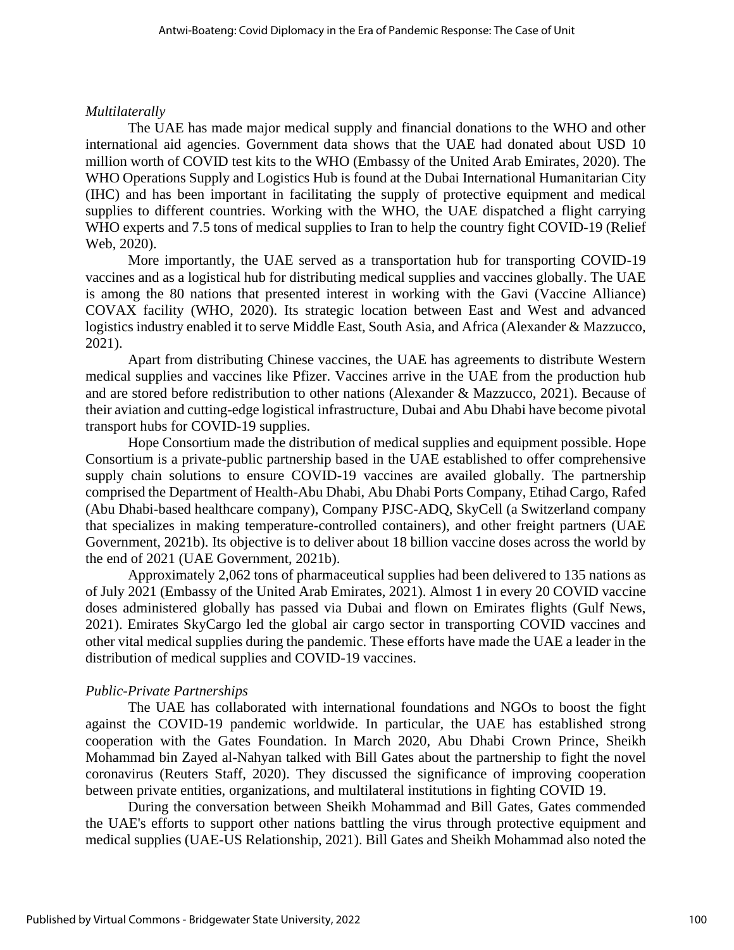## *Multilaterally*

The UAE has made major medical supply and financial donations to the WHO and other international aid agencies. Government data shows that the UAE had donated about USD 10 million worth of COVID test kits to the WHO (Embassy of the United Arab Emirates, 2020). The WHO Operations Supply and Logistics Hub is found at the Dubai International Humanitarian City (IHC) and has been important in facilitating the supply of protective equipment and medical supplies to different countries. Working with the WHO, the UAE dispatched a flight carrying WHO experts and 7.5 tons of medical supplies to Iran to help the country fight COVID-19 (Relief Web, 2020).

More importantly, the UAE served as a transportation hub for transporting COVID-19 vaccines and as a logistical hub for distributing medical supplies and vaccines globally. The UAE is among the 80 nations that presented interest in working with the Gavi (Vaccine Alliance) COVAX facility (WHO, 2020). Its strategic location between East and West and advanced logistics industry enabled it to serve Middle East, South Asia, and Africa (Alexander & Mazzucco, 2021).

Apart from distributing Chinese vaccines, the UAE has agreements to distribute Western medical supplies and vaccines like Pfizer. Vaccines arrive in the UAE from the production hub and are stored before redistribution to other nations (Alexander & Mazzucco, 2021). Because of their aviation and cutting-edge logistical infrastructure, Dubai and Abu Dhabi have become pivotal transport hubs for COVID-19 supplies.

Hope Consortium made the distribution of medical supplies and equipment possible. Hope Consortium is a private-public partnership based in the UAE established to offer comprehensive supply chain solutions to ensure COVID-19 vaccines are availed globally. The partnership comprised the Department of Health-Abu Dhabi, Abu Dhabi Ports Company, Etihad Cargo, Rafed (Abu Dhabi-based healthcare company), Company PJSC-ADQ, SkyCell (a Switzerland company that specializes in making temperature-controlled containers), and other freight partners (UAE Government, 2021b). Its objective is to deliver about 18 billion vaccine doses across the world by the end of 2021 (UAE Government, 2021b).

Approximately 2,062 tons of pharmaceutical supplies had been delivered to 135 nations as of July 2021 (Embassy of the United Arab Emirates, 2021). Almost 1 in every 20 COVID vaccine doses administered globally has passed via Dubai and flown on Emirates flights (Gulf News, 2021). Emirates SkyCargo led the global air cargo sector in transporting COVID vaccines and other vital medical supplies during the pandemic. These efforts have made the UAE a leader in the distribution of medical supplies and COVID-19 vaccines.

## *Public-Private Partnerships*

The UAE has collaborated with international foundations and NGOs to boost the fight against the COVID-19 pandemic worldwide. In particular, the UAE has established strong cooperation with the Gates Foundation. In March 2020, Abu Dhabi Crown Prince, Sheikh Mohammad bin Zayed al-Nahyan talked with Bill Gates about the partnership to fight the novel coronavirus (Reuters Staff, 2020). They discussed the significance of improving cooperation between private entities, organizations, and multilateral institutions in fighting COVID 19.

During the conversation between Sheikh Mohammad and Bill Gates, Gates commended the UAE's efforts to support other nations battling the virus through protective equipment and medical supplies (UAE-US Relationship, 2021). Bill Gates and Sheikh Mohammad also noted the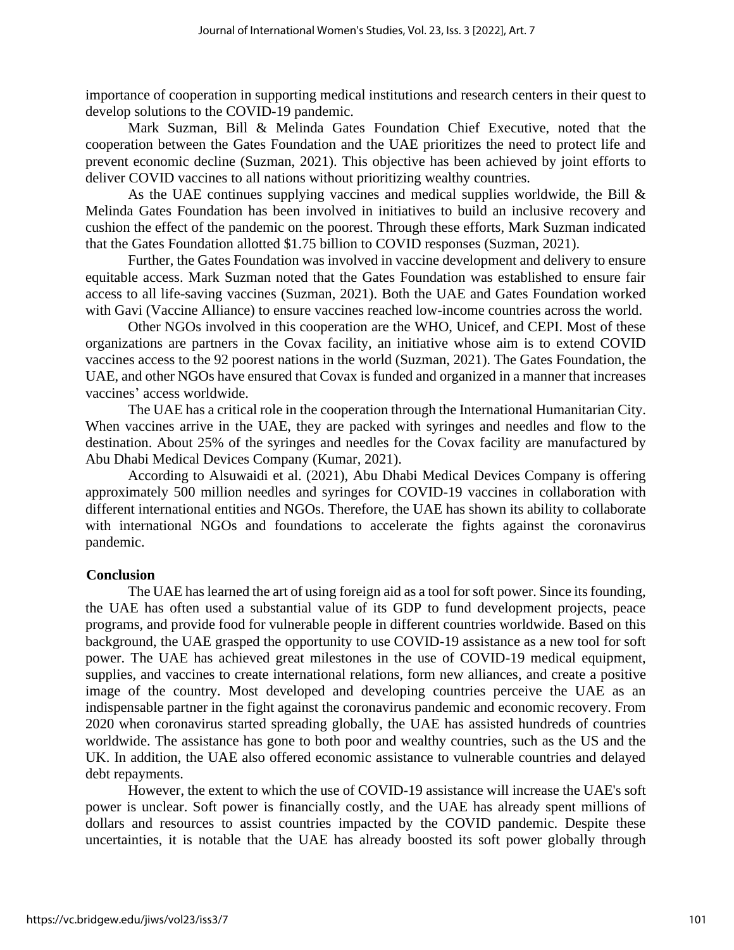importance of cooperation in supporting medical institutions and research centers in their quest to develop solutions to the COVID-19 pandemic.

Mark Suzman, Bill & Melinda Gates Foundation Chief Executive, noted that the cooperation between the Gates Foundation and the UAE prioritizes the need to protect life and prevent economic decline (Suzman, 2021). This objective has been achieved by joint efforts to deliver COVID vaccines to all nations without prioritizing wealthy countries.

As the UAE continues supplying vaccines and medical supplies worldwide, the Bill  $\&$ Melinda Gates Foundation has been involved in initiatives to build an inclusive recovery and cushion the effect of the pandemic on the poorest. Through these efforts, Mark Suzman indicated that the Gates Foundation allotted \$1.75 billion to COVID responses (Suzman, 2021).

Further, the Gates Foundation was involved in vaccine development and delivery to ensure equitable access. Mark Suzman noted that the Gates Foundation was established to ensure fair access to all life-saving vaccines (Suzman, 2021). Both the UAE and Gates Foundation worked with Gavi (Vaccine Alliance) to ensure vaccines reached low-income countries across the world.

Other NGOs involved in this cooperation are the WHO, Unicef, and CEPI. Most of these organizations are partners in the Covax facility, an initiative whose aim is to extend COVID vaccines access to the 92 poorest nations in the world (Suzman, 2021). The Gates Foundation, the UAE, and other NGOs have ensured that Covax is funded and organized in a manner that increases vaccines' access worldwide.

The UAE has a critical role in the cooperation through the International Humanitarian City. When vaccines arrive in the UAE, they are packed with syringes and needles and flow to the destination. About 25% of the syringes and needles for the Covax facility are manufactured by Abu Dhabi Medical Devices Company (Kumar, 2021).

According to Alsuwaidi et al. (2021), Abu Dhabi Medical Devices Company is offering approximately 500 million needles and syringes for COVID-19 vaccines in collaboration with different international entities and NGOs. Therefore, the UAE has shown its ability to collaborate with international NGOs and foundations to accelerate the fights against the coronavirus pandemic.

#### **Conclusion**

The UAE has learned the art of using foreign aid as a tool for soft power. Since its founding, the UAE has often used a substantial value of its GDP to fund development projects, peace programs, and provide food for vulnerable people in different countries worldwide. Based on this background, the UAE grasped the opportunity to use COVID-19 assistance as a new tool for soft power. The UAE has achieved great milestones in the use of COVID-19 medical equipment, supplies, and vaccines to create international relations, form new alliances, and create a positive image of the country. Most developed and developing countries perceive the UAE as an indispensable partner in the fight against the coronavirus pandemic and economic recovery. From 2020 when coronavirus started spreading globally, the UAE has assisted hundreds of countries worldwide. The assistance has gone to both poor and wealthy countries, such as the US and the UK. In addition, the UAE also offered economic assistance to vulnerable countries and delayed debt repayments.

However, the extent to which the use of COVID-19 assistance will increase the UAE's soft power is unclear. Soft power is financially costly, and the UAE has already spent millions of dollars and resources to assist countries impacted by the COVID pandemic. Despite these uncertainties, it is notable that the UAE has already boosted its soft power globally through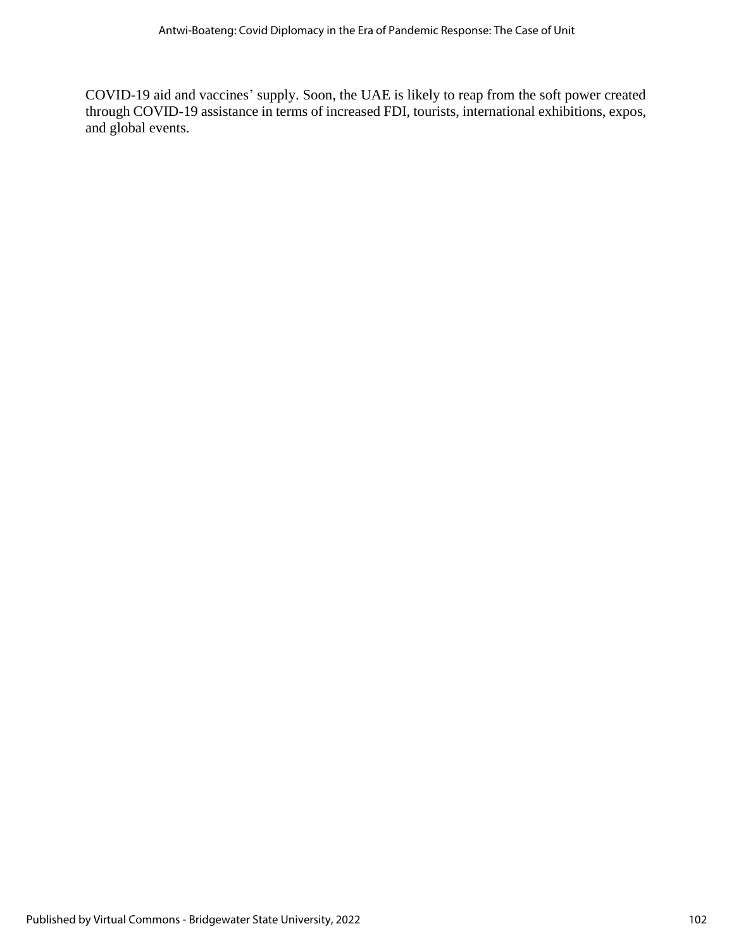COVID-19 aid and vaccines' supply. Soon, the UAE is likely to reap from the soft power created through COVID-19 assistance in terms of increased FDI, tourists, international exhibitions, expos, and global events.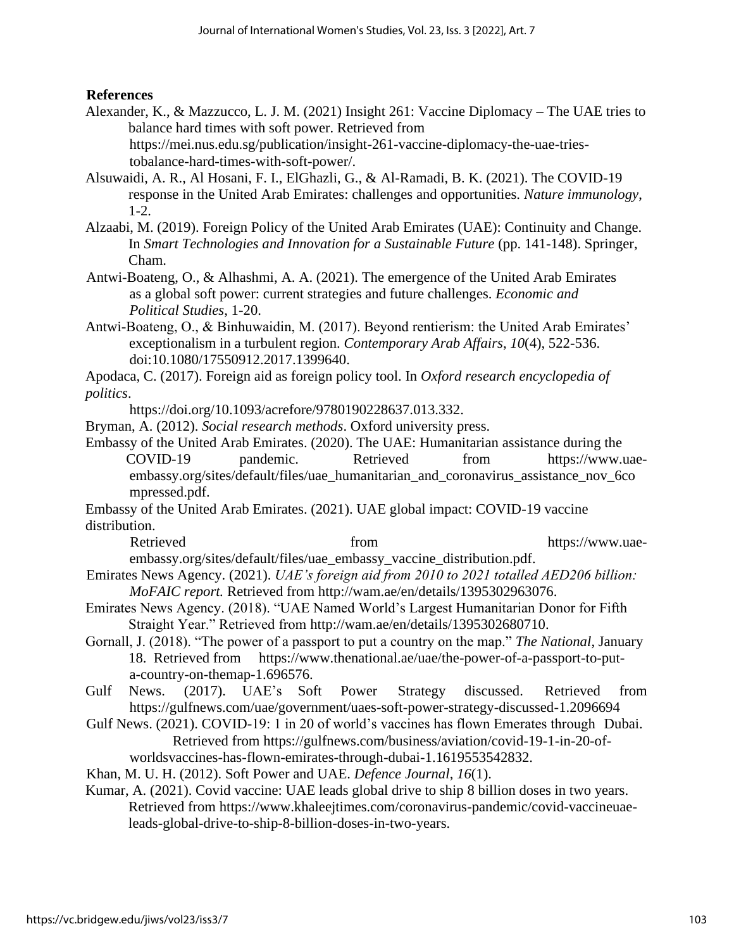## **References**

- Alexander, K., & Mazzucco, L. J. M. (2021) Insight 261: Vaccine Diplomacy The UAE tries to balance hard times with soft power. Retrieved from https://mei.nus.edu.sg/publication/insight-261-vaccine-diplomacy-the-uae-triestobalance-hard-times-with-soft-power/.
- Alsuwaidi, A. R., Al Hosani, F. I., ElGhazli, G., & Al-Ramadi, B. K. (2021). The COVID-19 response in the United Arab Emirates: challenges and opportunities. *Nature immunology*, 1-2.
- Alzaabi, M. (2019). Foreign Policy of the United Arab Emirates (UAE): Continuity and Change. In *Smart Technologies and Innovation for a Sustainable Future* (pp. 141-148). Springer, Cham.
- Antwi-Boateng, O., & Alhashmi, A. A. (2021). The emergence of the United Arab Emirates as a global soft power: current strategies and future challenges. *Economic and Political Studies*, 1-20.
- Antwi-Boateng, O., & Binhuwaidin, M. (2017). Beyond rentierism: the United Arab Emirates' exceptionalism in a turbulent region. *Contemporary Arab Affairs*, *10*(4), 522-536. doi:10.1080/17550912.2017.1399640.

Apodaca, C. (2017). Foreign aid as foreign policy tool. In *Oxford research encyclopedia of politics*.

[https://doi.org/10.1093/acrefore/9780190228637.013.332.](https://doi.org/10.1093/acrefore/9780190228637.013.332)

Bryman, A. (2012). *Social research methods*. Oxford university press.

Embassy of the United Arab Emirates. (2020). The UAE: Humanitarian assistance during the COVID-19 pandemic. Retrieved from https://www.uaeembassy.org/sites/default/files/uae\_humanitarian\_and\_coronavirus\_assistance\_nov\_6co mpressed.pdf.

Embassy of the United Arab Emirates. (2021). UAE global impact: COVID-19 vaccine distribution.

Retrieved from from [https://www.uae](https://www.uae-embassy.org/sites/default/files/uae_embassy_vaccine_distribution.pdf)[embassy.org/sites/default/files/uae\\_embassy\\_vaccine\\_distribution.pdf.](https://www.uae-embassy.org/sites/default/files/uae_embassy_vaccine_distribution.pdf)

- Emirates News Agency. (2021). *UAE's foreign aid from 2010 to 2021 totalled AED206 billion: MoFAIC report.* Retrieved from http://wam.ae/en/details/1395302963076.
- Emirates News Agency. (2018). "UAE Named World's Largest Humanitarian Donor for Fifth Straight Year." Retrieved from [http://wam.ae/en/details/1395302680710.](http://wam.ae/en/details/1395302680710)
- Gornall, J. (2018). "The power of a passport to put a country on the map." *The National*, January 18. Retrieved from [https://www.thenational.ae/uae/the-power-of-a-passport-to-put](https://www.thenational.ae/uae/the-power-of-a-passport-to-put-a-country-on-the-map-1.696576)[a-country-on-themap-1.696576.](https://www.thenational.ae/uae/the-power-of-a-passport-to-put-a-country-on-the-map-1.696576)
- Gulf News. (2017). UAE's Soft Power Strategy discussed. Retrieved from https://gulfnews.com/uae/government/uaes-soft-power-strategy-discussed-1.2096694
- Gulf News. (2021). COVID-19: 1 in 20 of world's vaccines has flown Emerates through Dubai. Retrieved from [https://gulfnews.com/business/aviation/covid-19-1-in-20-of](https://gulfnews.com/business/aviation/covid-19-1-in-20-of-)worldsvaccines-has-flown-emirates-through-dubai-1.1619553542832.
- Khan, M. U. H. (2012). Soft Power and UAE. *Defence Journal*, *16*(1).
- Kumar, A. (2021). Covid vaccine: UAE leads global drive to ship 8 billion doses in two years. Retrieved from https://www.khaleejtimes.com/coronavirus-pandemic/covid-vaccineuaeleads-global-drive-to-ship-8-billion-doses-in-two-years.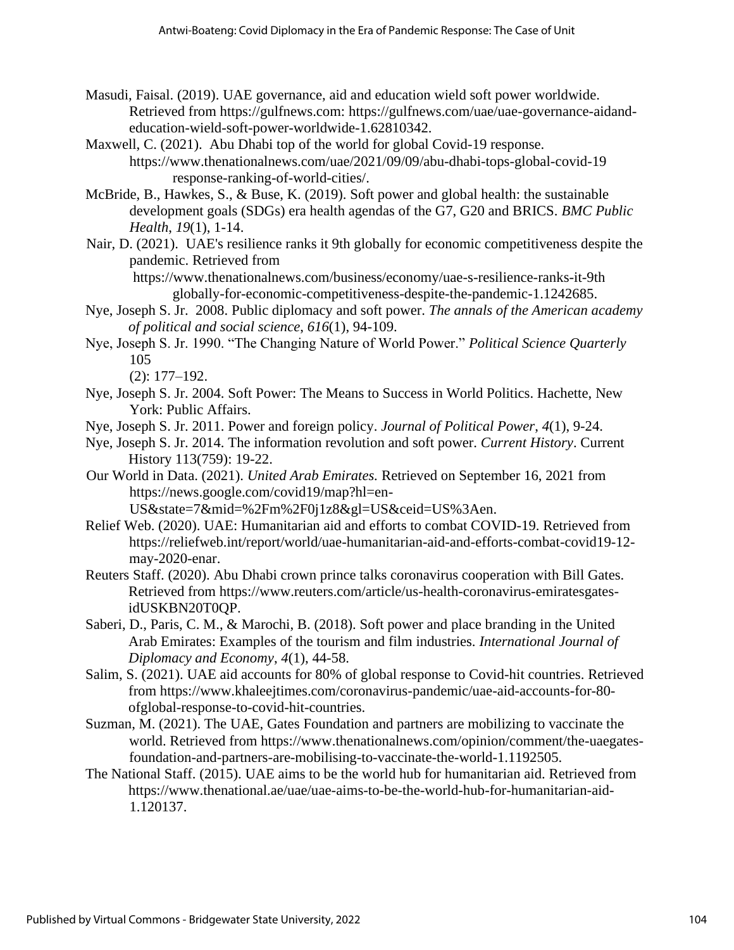- Masudi, Faisal. (2019). UAE governance, aid and education wield soft power worldwide. Retrieved from https://gulfnews.com: [https://gulfnews.com/uae/uae-governance-aidand](https://gulfnews.com/uae/uae-governance-aid-and-education-wield-soft-power-worldwide-1.62810342)[education-wield-soft-power-worldwide-1.62810342.](https://gulfnews.com/uae/uae-governance-aid-and-education-wield-soft-power-worldwide-1.62810342)
- Maxwell, C. (2021). Abu Dhabi top of the world for global Covid-19 response. [https://www.thenationalnews.com/uae/2021/09/09/abu-dhabi-tops-global-covid-19](https://www.thenationalnews.com/uae/2021/09/09/abu-dhabi-tops-global-covid-19-%09response-ranking-of-world-cities/) [response-ranking-of-world-cities/.](https://www.thenationalnews.com/uae/2021/09/09/abu-dhabi-tops-global-covid-19-%09response-ranking-of-world-cities/)
- McBride, B., Hawkes, S., & Buse, K. (2019). Soft power and global health: the sustainable development goals (SDGs) era health agendas of the G7, G20 and BRICS. *BMC Public Health*, *19*(1), 1-14.
- Nair, D. (2021). UAE's resilience ranks it 9th globally for economic competitiveness despite the pandemic. Retrieved from

 [https://www.thenationalnews.com/business/economy/uae-s-resilience-ranks-it-9th](https://www.thenationalnews.com/business/economy/uae-s-resilience-ranks-it-9th-) globally-for-economic-competitiveness-despite-the-pandemic-1.1242685.

- Nye, Joseph S. Jr. 2008. Public diplomacy and soft power. *The annals of the American academy of political and social science*, *616*(1), 94-109.
- Nye, Joseph S. Jr. 1990. "The Changing Nature of World Power." *Political Science Quarterly* 105

(2): 177–192.

- Nye, Joseph S. Jr. 2004. Soft Power: The Means to Success in World Politics. Hachette, New York: Public Affairs.
- Nye, Joseph S. Jr. 2011. Power and foreign policy. *Journal of Political Power*, *4*(1), 9-24.
- Nye, Joseph S. Jr. 2014. The information revolution and soft power. *Current History*. Current History 113(759): 19-22.
- Our World in Data. (2021). *United Arab Emirates.* Retrieved on September 16, 2021 from <https://news.google.com/covid19/map?hl=en->

US&state=7&mid=%2Fm%2F0j1z8&gl=US&ceid=US%3Aen.

- Relief Web. (2020). UAE: Humanitarian aid and efforts to combat COVID-19. Retrieved from https://reliefweb.int/report/world/uae-humanitarian-aid-and-efforts-combat-covid19-12 may-2020-enar.
- Reuters Staff. (2020). Abu Dhabi crown prince talks coronavirus cooperation with Bill Gates. Retrieved from https://www.reuters.com/article/us-health-coronavirus-emiratesgatesidUSKBN20T0QP.
- Saberi, D., Paris, C. M., & Marochi, B. (2018). Soft power and place branding in the United Arab Emirates: Examples of the tourism and film industries. *International Journal of Diplomacy and Economy*, *4*(1), 44-58.
- Salim, S. (2021). UAE aid accounts for 80% of global response to Covid-hit countries. Retrieved from https://www.khaleejtimes.com/coronavirus-pandemic/uae-aid-accounts-for-80 ofglobal-response-to-covid-hit-countries.
- Suzman, M. (2021). The UAE, Gates Foundation and partners are mobilizing to vaccinate the world. Retrieved from https://www.thenationalnews.com/opinion/comment/the-uaegatesfoundation-and-partners-are-mobilising-to-vaccinate-the-world-1.1192505.
- The National Staff. (2015). UAE aims to be the world hub for humanitarian aid. Retrieved from https://www.thenational.ae/uae/uae-aims-to-be-the-world-hub-for-humanitarian-aid-1.120137.